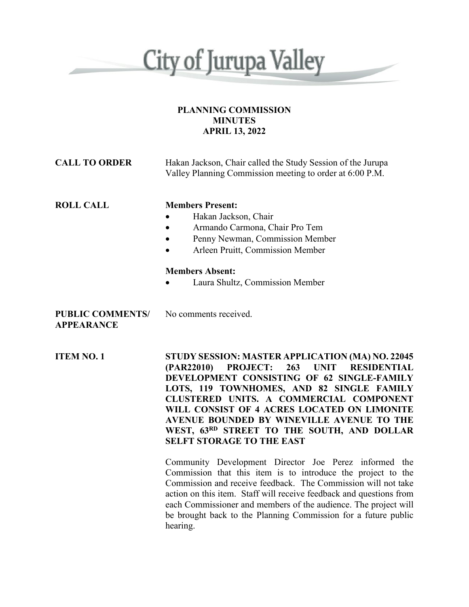

### **PLANNING COMMISSION MINUTES APRIL 13, 2022**

| <b>CALL TO ORDER</b>                         | Hakan Jackson, Chair called the Study Session of the Jurupa<br>Valley Planning Commission meeting to order at 6:00 P.M.                                                                                                                                                                                                                                                                                                                           |
|----------------------------------------------|---------------------------------------------------------------------------------------------------------------------------------------------------------------------------------------------------------------------------------------------------------------------------------------------------------------------------------------------------------------------------------------------------------------------------------------------------|
| <b>ROLL CALL</b>                             | <b>Members Present:</b><br>Hakan Jackson, Chair<br>$\bullet$<br>Armando Carmona, Chair Pro Tem<br>$\bullet$<br>Penny Newman, Commission Member<br>Arleen Pruitt, Commission Member<br>$\bullet$                                                                                                                                                                                                                                                   |
|                                              | <b>Members Absent:</b><br>Laura Shultz, Commission Member                                                                                                                                                                                                                                                                                                                                                                                         |
| <b>PUBLIC COMMENTS/</b><br><b>APPEARANCE</b> | No comments received.                                                                                                                                                                                                                                                                                                                                                                                                                             |
| <b>ITEM NO. 1</b>                            | STUDY SESSION: MASTER APPLICATION (MA) NO. 22045<br><b>PROJECT:</b><br>263<br><b>UNIT</b><br><b>RESIDENTIAL</b><br>(PAR22010)<br>DEVELOPMENT CONSISTING OF 62 SINGLE-FAMILY<br>LOTS, 119 TOWNHOMES, AND 82 SINGLE FAMILY<br>CLUSTERED UNITS. A COMMERCIAL COMPONENT<br>WILL CONSIST OF 4 ACRES LOCATED ON LIMONITE<br>AVENUE BOUNDED BY WINEVILLE AVENUE TO THE<br>WEST, 63RD STREET TO THE SOUTH, AND DOLLAR<br><b>SELFT STORAGE TO THE EAST</b> |
|                                              | Community Development Director Joe Perez informed the<br>Commission that this item is to introduce the project to the<br>Commission and receive feedback. The Commission will not take<br>action on this item. Staff will receive feedback and questions from<br>each Commissioner and members of the audience. The project will<br>be brought back to the Planning Commission for a future public<br>hearing.                                    |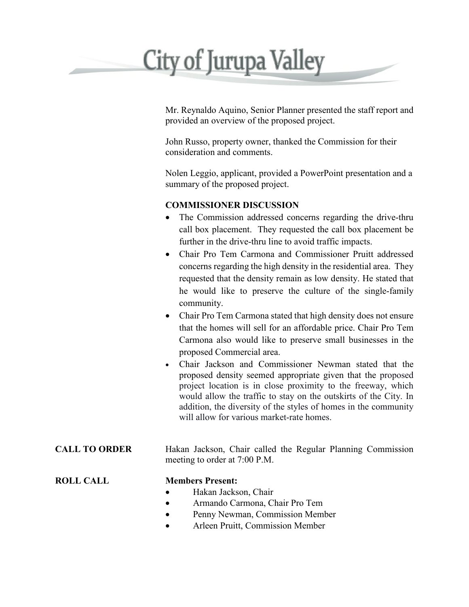# **City of Jurupa Valley**

Mr. Reynaldo Aquino, Senior Planner presented the staff report and provided an overview of the proposed project.

John Russo, property owner, thanked the Commission for their consideration and comments.

Nolen Leggio, applicant, provided a PowerPoint presentation and a summary of the proposed project.

## **COMMISSIONER DISCUSSION**

- The Commission addressed concerns regarding the drive-thru call box placement. They requested the call box placement be further in the drive-thru line to avoid traffic impacts.
- Chair Pro Tem Carmona and Commissioner Pruitt addressed concerns regarding the high density in the residential area. They requested that the density remain as low density. He stated that he would like to preserve the culture of the single-family community.
- Chair Pro Tem Carmona stated that high density does not ensure that the homes will sell for an affordable price. Chair Pro Tem Carmona also would like to preserve small businesses in the proposed Commercial area.
- Chair Jackson and Commissioner Newman stated that the proposed density seemed appropriate given that the proposed project location is in close proximity to the freeway, which would allow the traffic to stay on the outskirts of the City. In addition, the diversity of the styles of homes in the community will allow for various market-rate homes.

**CALL TO ORDER** Hakan Jackson, Chair called the Regular Planning Commission meeting to order at 7:00 P.M.

### **ROLL CALL Members Present:**

- Hakan Jackson, Chair
- Armando Carmona, Chair Pro Tem
- Penny Newman, Commission Member
- Arleen Pruitt, Commission Member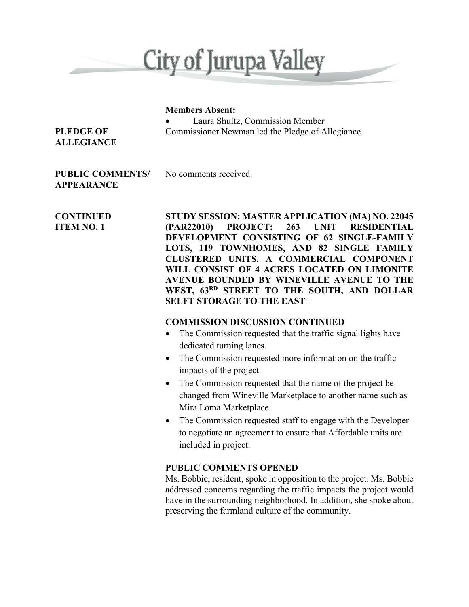

### **Members Absent:**

• Laura Shultz, Commission Member **PLEDGE OF** Commissioner Newman led the Pledge of Allegiance.

# **ALLEGIANCE**

### **PUBLIC COMMENTS/** No comments received. **APPEARANCE**

**CONTINUED STUDY SESSION: MASTER APPLICATION (MA) NO. 22045 ITEM NO. 1 (PAR22010) PROJECT: 263 UNIT RESIDENTIAL DEVELOPMENT CONSISTING OF 62 SINGLE-FAMILY LOTS, 119 TOWNHOMES, AND 82 SINGLE FAMILY CLUSTERED UNITS. A COMMERCIAL COMPONENT WILL CONSIST OF 4 ACRES LOCATED ON LIMONITE AVENUE BOUNDED BY WINEVILLE AVENUE TO THE WEST, 63RD STREET TO THE SOUTH, AND DOLLAR SELFT STORAGE TO THE EAST**

### **COMMISSION DISCUSSION CONTINUED**

- The Commission requested that the traffic signal lights have dedicated turning lanes.
- The Commission requested more information on the traffic impacts of the project.
- The Commission requested that the name of the project be changed from Wineville Marketplace to another name such as Mira Loma Marketplace.
- The Commission requested staff to engage with the Developer to negotiate an agreement to ensure that Affordable units are included in project.

## **PUBLIC COMMENTS OPENED**

Ms. Bobbie, resident, spoke in opposition to the project. Ms. Bobbie addressed concerns regarding the traffic impacts the project would have in the surrounding neighborhood. In addition, she spoke about preserving the farmland culture of the community.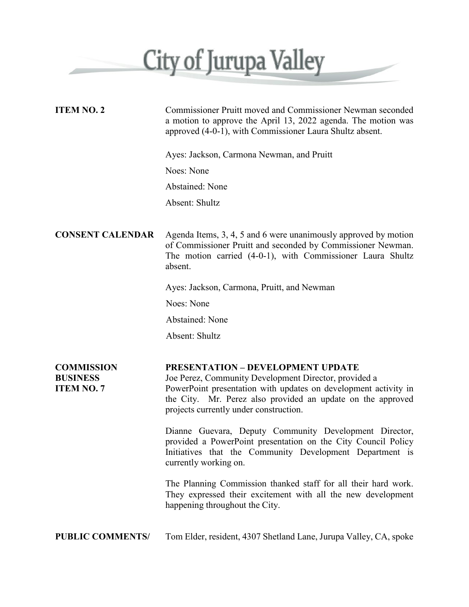

| <b>ITEM NO. 2</b>                                         | Commissioner Pruitt moved and Commissioner Newman seconded<br>a motion to approve the April 13, 2022 agenda. The motion was<br>approved (4-0-1), with Commissioner Laura Shultz absent.                                                                                       |
|-----------------------------------------------------------|-------------------------------------------------------------------------------------------------------------------------------------------------------------------------------------------------------------------------------------------------------------------------------|
|                                                           | Ayes: Jackson, Carmona Newman, and Pruitt                                                                                                                                                                                                                                     |
|                                                           | Noes: None                                                                                                                                                                                                                                                                    |
|                                                           | Abstained: None                                                                                                                                                                                                                                                               |
|                                                           | Absent: Shultz                                                                                                                                                                                                                                                                |
|                                                           |                                                                                                                                                                                                                                                                               |
| <b>CONSENT CALENDAR</b>                                   | Agenda Items, 3, 4, 5 and 6 were unanimously approved by motion<br>of Commissioner Pruitt and seconded by Commissioner Newman.<br>The motion carried (4-0-1), with Commissioner Laura Shultz<br>absent.                                                                       |
|                                                           | Ayes: Jackson, Carmona, Pruitt, and Newman                                                                                                                                                                                                                                    |
|                                                           | Noes: None                                                                                                                                                                                                                                                                    |
|                                                           | Abstained: None                                                                                                                                                                                                                                                               |
|                                                           | Absent: Shultz                                                                                                                                                                                                                                                                |
|                                                           |                                                                                                                                                                                                                                                                               |
| <b>COMMISSION</b><br><b>BUSINESS</b><br><b>ITEM NO. 7</b> | <b>PRESENTATION - DEVELOPMENT UPDATE</b><br>Joe Perez, Community Development Director, provided a<br>PowerPoint presentation with updates on development activity in<br>the City. Mr. Perez also provided an update on the approved<br>projects currently under construction. |
|                                                           | Dianne Guevara, Deputy Community Development Director,<br>provided a PowerPoint presentation on the City Council Policy<br>Initiatives that the Community Development Department is<br>currently working on.                                                                  |
|                                                           | The Planning Commission thanked staff for all their hard work.<br>They expressed their excitement with all the new development<br>happening throughout the City.                                                                                                              |
| <b>PUBLIC COMMENTS/</b>                                   | Tom Elder, resident, 4307 Shetland Lane, Jurupa Valley, CA, spoke                                                                                                                                                                                                             |